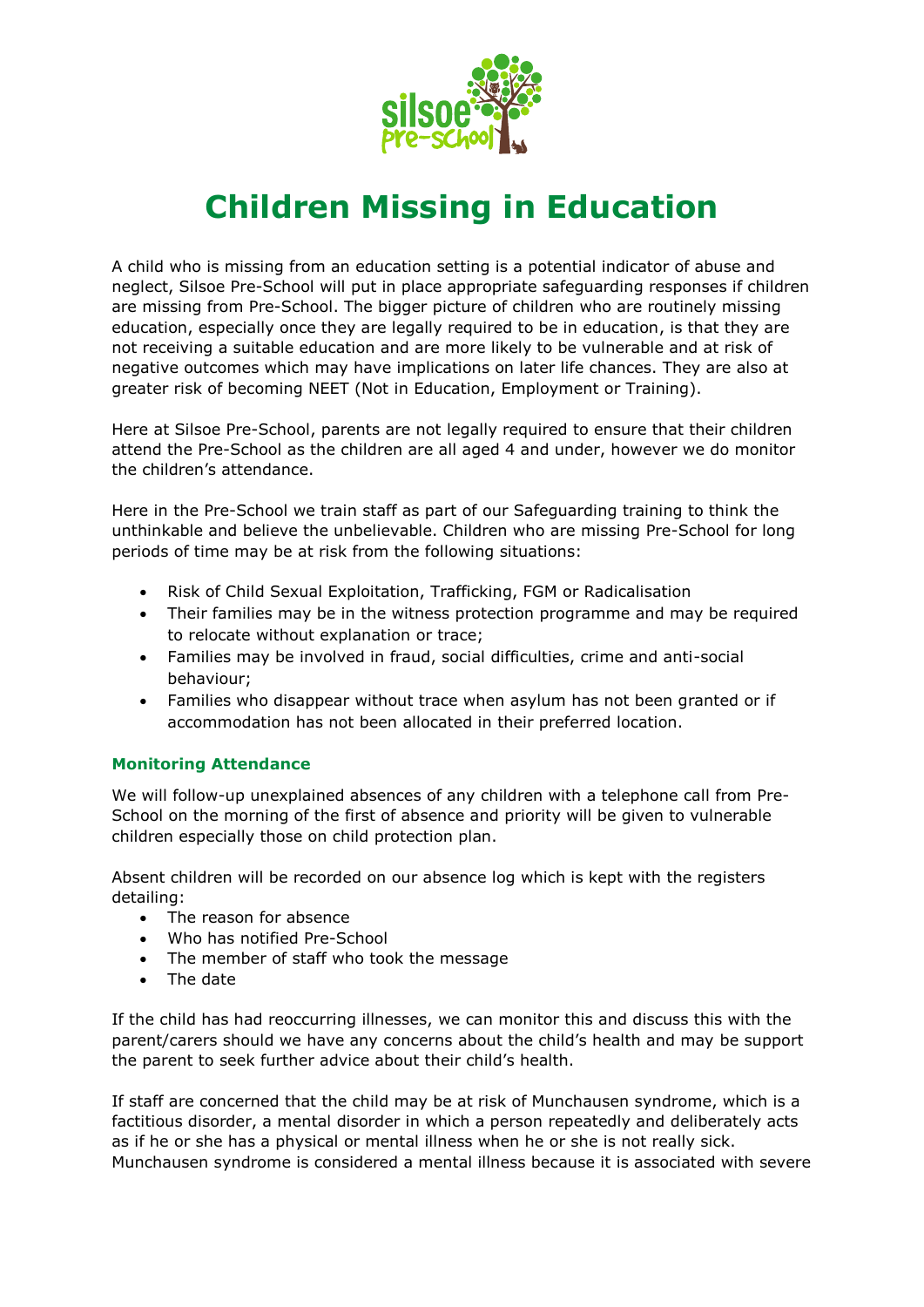

## **Children Missing in Education**

A child who is missing from an education setting is a potential indicator of abuse and neglect, Silsoe Pre-School will put in place appropriate safeguarding responses if children are missing from Pre-School. The bigger picture of children who are routinely missing education, especially once they are legally required to be in education, is that they are not receiving a suitable education and are more likely to be vulnerable and at risk of negative outcomes which may have implications on later life chances. They are also at greater risk of becoming NEET (Not in Education, Employment or Training).

Here at Silsoe Pre-School, parents are not legally required to ensure that their children attend the Pre-School as the children are all aged 4 and under, however we do monitor the children's attendance.

Here in the Pre-School we train staff as part of our Safeguarding training to think the unthinkable and believe the unbelievable. Children who are missing Pre-School for long periods of time may be at risk from the following situations:

- Risk of Child Sexual Exploitation, Trafficking, FGM or Radicalisation
- Their families may be in the witness protection programme and may be required to relocate without explanation or trace;
- Families may be involved in fraud, social difficulties, crime and anti-social behaviour;
- Families who disappear without trace when asylum has not been granted or if accommodation has not been allocated in their preferred location.

## **Monitoring Attendance**

We will follow-up unexplained absences of any children with a telephone call from Pre-School on the morning of the first of absence and priority will be given to vulnerable children especially those on child protection plan.

Absent children will be recorded on our absence log which is kept with the registers detailing:

- The reason for absence
- Who has notified Pre-School
- The member of staff who took the message
- The date

If the child has had reoccurring illnesses, we can monitor this and discuss this with the parent/carers should we have any concerns about the child's health and may be support the parent to seek further advice about their child's health.

If staff are concerned that the child may be at risk of Munchausen syndrome, which is a factitious disorder, a mental disorder in which a person repeatedly and deliberately acts as if he or she has a physical or mental illness when he or she is not really sick. Munchausen syndrome is considered a mental illness because it is associated with severe